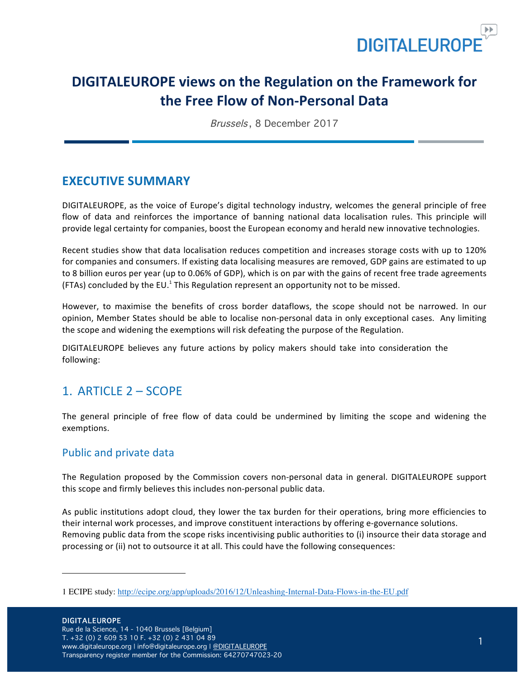

# **DIGITALEUROPE views on the Regulation on the Framework for the Free Flow of Non-Personal Data**

Brussels , 8 December 2017

## **EXECUTIVE SUMMARY**

DIGITALEUROPE, as the voice of Europe's digital technology industry, welcomes the general principle of free flow of data and reinforces the importance of banning national data localisation rules. This principle will provide legal certainty for companies, boost the European economy and herald new innovative technologies.

Recent studies show that data localisation reduces competition and increases storage costs with up to 120% for companies and consumers. If existing data localising measures are removed, GDP gains are estimated to up to 8 billion euros per year (up to 0.06% of GDP), which is on par with the gains of recent free trade agreements (FTAs) concluded by the EU.<sup>1</sup> This Regulation represent an opportunity not to be missed.

However, to maximise the benefits of cross border dataflows, the scope should not be narrowed. In our opinion, Member States should be able to localise non-personal data in only exceptional cases. Any limiting the scope and widening the exemptions will risk defeating the purpose of the Regulation.

DIGITALEUROPE believes any future actions by policy makers should take into consideration the following:

## 1. ARTICLE 2 – SCOPE

The general principle of free flow of data could be undermined by limiting the scope and widening the exemptions. 

### Public and private data

The Regulation proposed by the Commission covers non-personal data in general. DIGITALEUROPE support this scope and firmly believes this includes non-personal public data.

As public institutions adopt cloud, they lower the tax burden for their operations, bring more efficiencies to their internal work processes, and improve constituent interactions by offering e-governance solutions. Removing public data from the scope risks incentivising public authorities to (i) insource their data storage and processing or (ii) not to outsource it at all. This could have the following consequences:

<sup>1</sup> ECIPE study: http://ecipe.org/app/uploads/2016/12/Unleashing-Internal-Data-Flows-in-the-EU.pdf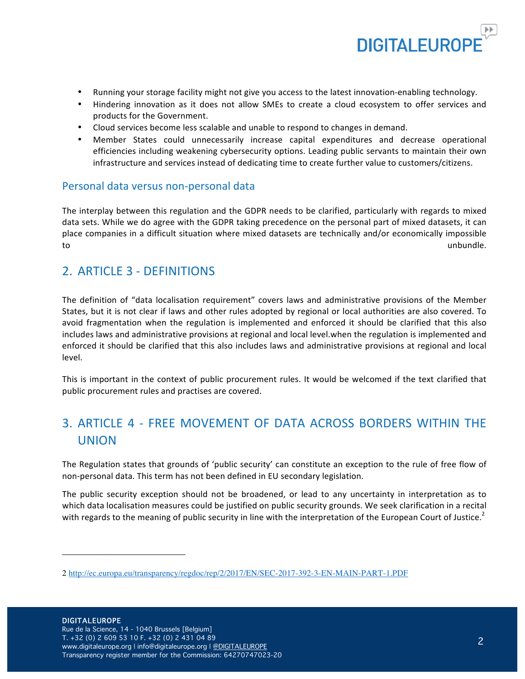

- Running your storage facility might not give you access to the latest innovation-enabling technology.
- Hindering innovation as it does not allow SMEs to create a cloud ecosystem to offer services and products for the Government.
- Cloud services become less scalable and unable to respond to changes in demand.
- Member States could unnecessarily increase capital expenditures and decrease operational efficiencies including weakening cybersecurity options. Leading public servants to maintain their own infrastructure and services instead of dedicating time to create further value to customers/citizens.

### Personal data versus non-personal data

The interplay between this regulation and the GDPR needs to be clarified, particularly with regards to mixed data sets. While we do agree with the GDPR taking precedence on the personal part of mixed datasets, it can place companies in a difficult situation where mixed datasets are technically and/or economically impossible to the contract of the contract of the contract of the contract of the contract of the contract of the contract of the contract of the contract of the contract of the contract of the contract of the contract of the contrac

### 2. ARTICLE 3 - DEFINITIONS

The definition of "data localisation requirement" covers laws and administrative provisions of the Member States, but it is not clear if laws and other rules adopted by regional or local authorities are also covered. To avoid fragmentation when the regulation is implemented and enforced it should be clarified that this also includes laws and administrative provisions at regional and local level.when the regulation is implemented and enforced it should be clarified that this also includes laws and administrative provisions at regional and local level.

This is important in the context of public procurement rules. It would be welcomed if the text clarified that public procurement rules and practises are covered.

## 3. ARTICLE 4 - FREE MOVEMENT OF DATA ACROSS BORDERS WITHIN THE UNION

The Regulation states that grounds of 'public security' can constitute an exception to the rule of free flow of non-personal data. This term has not been defined in EU secondary legislation.

The public security exception should not be broadened, or lead to any uncertainty in interpretation as to which data localisation measures could be justified on public security grounds. We seek clarification in a recital with regards to the meaning of public security in line with the interpretation of the European Court of Justice.<sup>2</sup>

j

<sup>2</sup> http://ec.europa.eu/transparency/regdoc/rep/2/2017/EN/SEC-2017-392-3-EN-MAIN-PART-1.PDF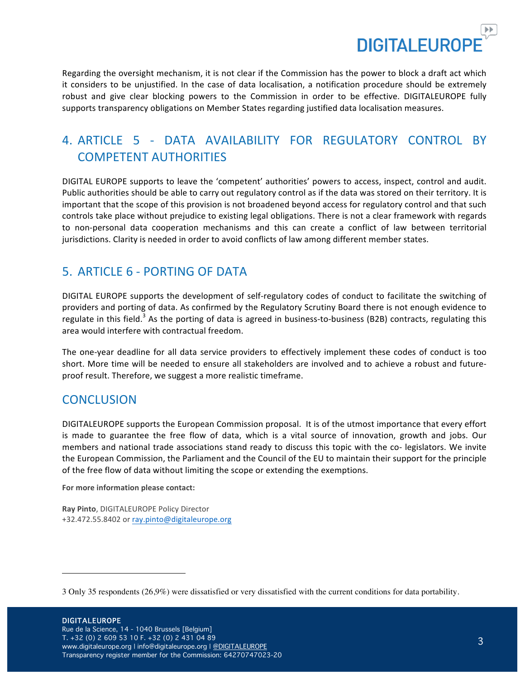

Regarding the oversight mechanism, it is not clear if the Commission has the power to block a draft act which it considers to be unjustified. In the case of data localisation, a notification procedure should be extremely robust and give clear blocking powers to the Commission in order to be effective. DIGITALEUROPE fully supports transparency obligations on Member States regarding justified data localisation measures.

# 4. ARTICLE 5 - DATA AVAILABILITY FOR REGULATORY CONTROL BY COMPETENT AUTHORITIES

DIGITAL EUROPE supports to leave the 'competent' authorities' powers to access, inspect, control and audit. Public authorities should be able to carry out regulatory control as if the data was stored on their territory. It is important that the scope of this provision is not broadened beyond access for regulatory control and that such controls take place without prejudice to existing legal obligations. There is not a clear framework with regards to non-personal data cooperation mechanisms and this can create a conflict of law between territorial jurisdictions. Clarity is needed in order to avoid conflicts of law among different member states.

## 5. ARTICLE 6 - PORTING OF DATA

DIGITAL EUROPE supports the development of self-regulatory codes of conduct to facilitate the switching of providers and porting of data. As confirmed by the Regulatory Scrutiny Board there is not enough evidence to regulate in this field.<sup>3</sup> As the porting of data is agreed in business-to-business (B2B) contracts, regulating this area would interfere with contractual freedom.

The one-year deadline for all data service providers to effectively implement these codes of conduct is too short. More time will be needed to ensure all stakeholders are involved and to achieve a robust and futureproof result. Therefore, we suggest a more realistic timeframe.

## **CONCLUSION**

DIGITALEUROPE supports the European Commission proposal. It is of the utmost importance that every effort is made to guarantee the free flow of data, which is a vital source of innovation, growth and jobs. Our members and national trade associations stand ready to discuss this topic with the co- legislators. We invite the European Commission, the Parliament and the Council of the EU to maintain their support for the principle of the free flow of data without limiting the scope or extending the exemptions.

For more information please contact:

**Ray Pinto**, DIGITALEUROPE Policy Director +32.472.55.8402 or ray.pinto@digitaleurope.org 

<sup>3</sup> Only 35 respondents (26,9%) were dissatisfied or very dissatisfied with the current conditions for data portability.